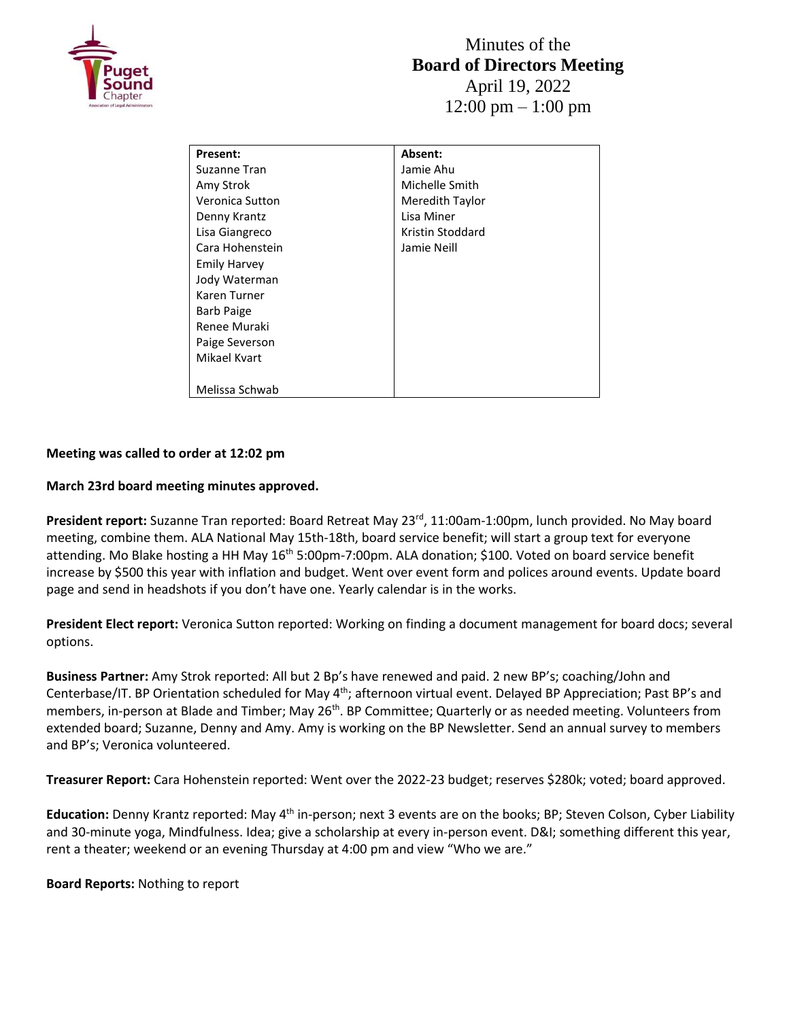

| <b>Present:</b>     | Absent:          |
|---------------------|------------------|
| Suzanne Tran        | Jamie Ahu        |
| Amy Strok           | Michelle Smith   |
| Veronica Sutton     | Meredith Taylor  |
| Denny Krantz        | Lisa Miner       |
| Lisa Giangreco      | Kristin Stoddard |
| Cara Hohenstein     | Jamie Neill      |
| <b>Emily Harvey</b> |                  |
| Jody Waterman       |                  |
| Karen Turner        |                  |
| <b>Barb Paige</b>   |                  |
| Renee Muraki        |                  |
| Paige Severson      |                  |
| Mikael Kvart        |                  |
|                     |                  |
| Melissa Schwab      |                  |

## **Meeting was called to order at 12:02 pm**

## **March 23rd board meeting minutes approved.**

President report: Suzanne Tran reported: Board Retreat May 23<sup>rd</sup>, 11:00am-1:00pm, lunch provided. No May board meeting, combine them. ALA National May 15th-18th, board service benefit; will start a group text for everyone attending. Mo Blake hosting a HH May 16<sup>th</sup> 5:00pm-7:00pm. ALA donation; \$100. Voted on board service benefit increase by \$500 this year with inflation and budget. Went over event form and polices around events. Update board page and send in headshots if you don't have one. Yearly calendar is in the works.

**President Elect report:** Veronica Sutton reported: Working on finding a document management for board docs; several options.

**Business Partner:** Amy Strok reported: All but 2 Bp's have renewed and paid. 2 new BP's; coaching/John and Centerbase/IT. BP Orientation scheduled for May 4<sup>th</sup>; afternoon virtual event. Delayed BP Appreciation; Past BP's and members, in-person at Blade and Timber; May 26<sup>th</sup>. BP Committee; Quarterly or as needed meeting. Volunteers from extended board; Suzanne, Denny and Amy. Amy is working on the BP Newsletter. Send an annual survey to members and BP's; Veronica volunteered.

**Treasurer Report:** Cara Hohenstein reported: Went over the 2022-23 budget; reserves \$280k; voted; board approved.

Education: Denny Krantz reported: May 4<sup>th</sup> in-person; next 3 events are on the books; BP; Steven Colson, Cyber Liability and 30-minute yoga, Mindfulness. Idea; give a scholarship at every in-person event. D&I; something different this year, rent a theater; weekend or an evening Thursday at 4:00 pm and view "Who we are."

**Board Reports:** Nothing to report